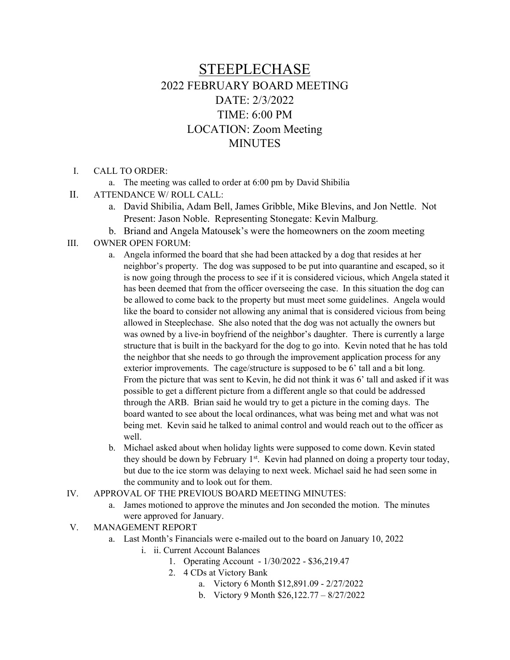# STEEPLECHASE 2022 FEBRUARY BOARD MEETING DATE: 2/3/2022 TIME: 6:00 PM LOCATION: Zoom Meeting **MINUTES**

- I. CALL TO ORDER:
	- a. The meeting was called to order at 6:00 pm by David Shibilia
- II. ATTENDANCE W/ ROLL CALL:
	- a. David Shibilia, Adam Bell, James Gribble, Mike Blevins, and Jon Nettle. Not Present: Jason Noble. Representing Stonegate: Kevin Malburg.
	- b. Briand and Angela Matousek's were the homeowners on the zoom meeting
- III. OWNER OPEN FORUM:
	- a. Angela informed the board that she had been attacked by a dog that resides at her neighbor's property. The dog was supposed to be put into quarantine and escaped, so it is now going through the process to see if it is considered vicious, which Angela stated it has been deemed that from the officer overseeing the case. In this situation the dog can be allowed to come back to the property but must meet some guidelines. Angela would like the board to consider not allowing any animal that is considered vicious from being allowed in Steeplechase. She also noted that the dog was not actually the owners but was owned by a live-in boyfriend of the neighbor's daughter. There is currently a large structure that is built in the backyard for the dog to go into. Kevin noted that he has told the neighbor that she needs to go through the improvement application process for any exterior improvements. The cage/structure is supposed to be 6' tall and a bit long. From the picture that was sent to Kevin, he did not think it was 6' tall and asked if it was possible to get a different picture from a different angle so that could be addressed through the ARB. Brian said he would try to get a picture in the coming days. The board wanted to see about the local ordinances, what was being met and what was not being met. Kevin said he talked to animal control and would reach out to the officer as well.
	- b. Michael asked about when holiday lights were supposed to come down. Kevin stated they should be down by February  $1<sup>st</sup>$ . Kevin had planned on doing a property tour today, but due to the ice storm was delaying to next week. Michael said he had seen some in the community and to look out for them.
- IV. APPROVAL OF THE PREVIOUS BOARD MEETING MINUTES:
	- a. James motioned to approve the minutes and Jon seconded the motion. The minutes were approved for January.
- V. MANAGEMENT REPORT
	- a. Last Month's Financials were e-mailed out to the board on January 10, 2022
		- i. ii. Current Account Balances
			- 1. Operating Account 1/30/2022 \$36,219.47
			- 2. 4 CDs at Victory Bank
				- a. Victory 6 Month \$12,891.09 2/27/2022
				- b. Victory 9 Month \$26,122.77 8/27/2022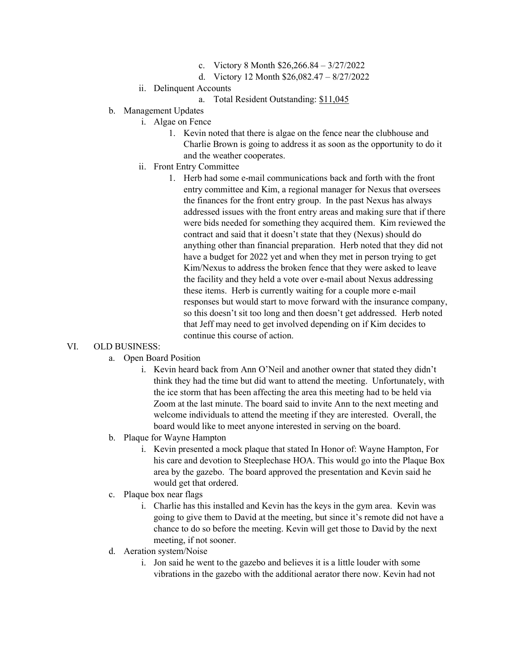- c. Victory 8 Month \$26,266.84 3/27/2022
- d. Victory 12 Month \$26,082.47 8/27/2022
- ii. Delinquent Accounts
	- a. Total Resident Outstanding: \$11,045
- b. Management Updates
	- i. Algae on Fence
		- 1. Kevin noted that there is algae on the fence near the clubhouse and Charlie Brown is going to address it as soon as the opportunity to do it and the weather cooperates.
	- ii. Front Entry Committee
		- 1. Herb had some e-mail communications back and forth with the front entry committee and Kim, a regional manager for Nexus that oversees the finances for the front entry group. In the past Nexus has always addressed issues with the front entry areas and making sure that if there were bids needed for something they acquired them. Kim reviewed the contract and said that it doesn't state that they (Nexus) should do anything other than financial preparation. Herb noted that they did not have a budget for 2022 yet and when they met in person trying to get Kim/Nexus to address the broken fence that they were asked to leave the facility and they held a vote over e-mail about Nexus addressing these items. Herb is currently waiting for a couple more e-mail responses but would start to move forward with the insurance company, so this doesn't sit too long and then doesn't get addressed. Herb noted that Jeff may need to get involved depending on if Kim decides to continue this course of action.

### VI. OLD BUSINESS:

- a. Open Board Position
	- i. Kevin heard back from Ann O'Neil and another owner that stated they didn't think they had the time but did want to attend the meeting. Unfortunately, with the ice storm that has been affecting the area this meeting had to be held via Zoom at the last minute. The board said to invite Ann to the next meeting and welcome individuals to attend the meeting if they are interested. Overall, the board would like to meet anyone interested in serving on the board.
- b. Plaque for Wayne Hampton
	- i. Kevin presented a mock plaque that stated In Honor of: Wayne Hampton, For his care and devotion to Steeplechase HOA. This would go into the Plaque Box area by the gazebo. The board approved the presentation and Kevin said he would get that ordered.
- c. Plaque box near flags
	- i. Charlie has this installed and Kevin has the keys in the gym area. Kevin was going to give them to David at the meeting, but since it's remote did not have a chance to do so before the meeting. Kevin will get those to David by the next meeting, if not sooner.
- d. Aeration system/Noise
	- i. Jon said he went to the gazebo and believes it is a little louder with some vibrations in the gazebo with the additional aerator there now. Kevin had not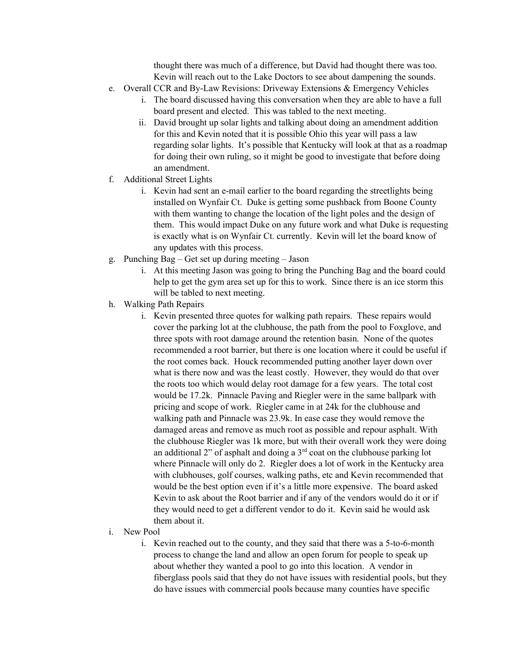thought there was much of a difference, but David had thought there was too. Kevin will reach out to the Lake Doctors to see about dampening the sounds.

- e. Overall CCR and By-Law Revisions: Driveway Extensions & Emergency Vehicles
	- i. The board discussed having this conversation when they are able to have a full board present and elected. This was tabled to the next meeting.
	- ii. David brought up solar lights and talking about doing an amendment addition for this and Kevin noted that it is possible Ohio this year will pass a law regarding solar lights. It's possible that Kentucky will look at that as a roadmap for doing their own ruling, so it might be good to investigate that before doing an amendment.
- f. Additional Street Lights
	- i. Kevin had sent an e-mail earlier to the board regarding the streetlights being installed on Wynfair Ct. Duke is getting some pushback from Boone County with them wanting to change the location of the light poles and the design of them. This would impact Duke on any future work and what Duke is requesting is exactly what is on Wynfair Ct. currently. Kevin will let the board know of any updates with this process.
- g. Punching Bag Get set up during meeting Jason
	- i. At this meeting Jason was going to bring the Punching Bag and the board could help to get the gym area set up for this to work. Since there is an ice storm this will be tabled to next meeting.
- h. Walking Path Repairs
	- i. Kevin presented three quotes for walking path repairs. These repairs would cover the parking lot at the clubhouse, the path from the pool to Foxglove, and three spots with root damage around the retention basin. None of the quotes recommended a root barrier, but there is one location where it could be useful if the root comes back. Houck recommended putting another layer down over what is there now and was the least costly. However, they would do that over the roots too which would delay root damage for a few years. The total cost would be 17.2k. Pinnacle Paving and Riegler were in the same ballpark with pricing and scope of work. Riegler came in at 24k for the clubhouse and walking path and Pinnacle was 23.9k. In ease case they would remove the damaged areas and remove as much root as possible and repour asphalt. With the clubhouse Riegler was 1k more, but with their overall work they were doing an additional 2" of asphalt and doing a  $3<sup>rd</sup>$  coat on the clubhouse parking lot where Pinnacle will only do 2. Riegler does a lot of work in the Kentucky area with clubhouses, golf courses, walking paths, etc and Kevin recommended that would be the best option even if it's a little more expensive. The board asked Kevin to ask about the Root barrier and if any of the vendors would do it or if they would need to get a different vendor to do it. Kevin said he would ask them about it.
- i. New Pool
	- i. Kevin reached out to the county, and they said that there was a 5-to-6-month process to change the land and allow an open forum for people to speak up about whether they wanted a pool to go into this location. A vendor in fiberglass pools said that they do not have issues with residential pools, but they do have issues with commercial pools because many counties have specific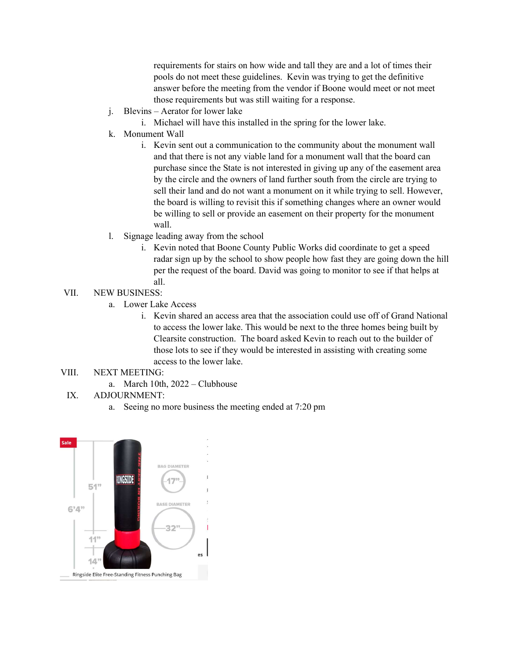requirements for stairs on how wide and tall they are and a lot of times their pools do not meet these guidelines. Kevin was trying to get the definitive answer before the meeting from the vendor if Boone would meet or not meet those requirements but was still waiting for a response.

- j. Blevins Aerator for lower lake
	- i. Michael will have this installed in the spring for the lower lake.
- k. Monument Wall
	- i. Kevin sent out a communication to the community about the monument wall and that there is not any viable land for a monument wall that the board can purchase since the State is not interested in giving up any of the easement area by the circle and the owners of land further south from the circle are trying to sell their land and do not want a monument on it while trying to sell. However, the board is willing to revisit this if something changes where an owner would be willing to sell or provide an easement on their property for the monument wall.
- l. Signage leading away from the school
	- i. Kevin noted that Boone County Public Works did coordinate to get a speed radar sign up by the school to show people how fast they are going down the hill per the request of the board. David was going to monitor to see if that helps at all.

## VII. NEW BUSINESS:

- a. Lower Lake Access
	- i. Kevin shared an access area that the association could use off of Grand National to access the lower lake. This would be next to the three homes being built by Clearsite construction. The board asked Kevin to reach out to the builder of those lots to see if they would be interested in assisting with creating some access to the lower lake.

### VIII. NEXT MEETING:

a. March 10th, 2022 – Clubhouse

## IX. ADJOURNMENT:

a. Seeing no more business the meeting ended at 7:20 pm